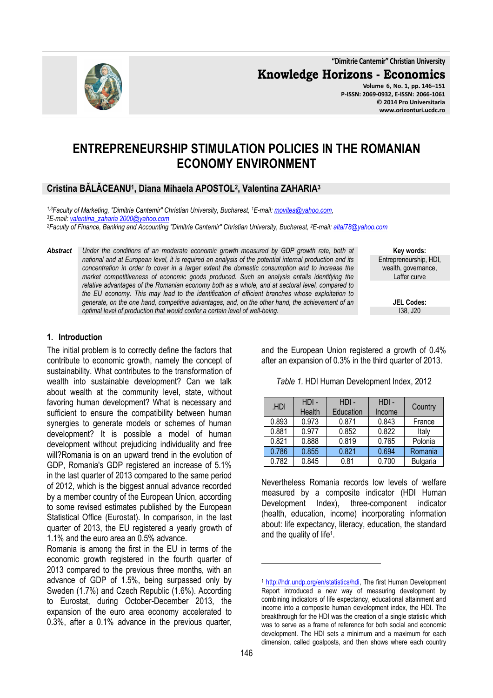l

 $.HDI$   $\parallel$  HDI -

Health<br> $0.973$ 

**"Dimitrie Cantemir" Christian University Knowledge Horizons - Economics Volume 6, No. 1, pp. 146–151 P-ISSN: 2069-0932, E-ISSN: 2066-1061 © 2014 Pro Universitaria** 

## **ENTREPRENEURSHIP STIMULATION POLICIES IN THE ROMANIAN ECONOMY ENVIRONMENT**

## **Cristina BĂLĂCEANU<sup>1</sup> , Diana Mihaela APOSTOL<sup>2</sup> , Valentina ZAHARIA<sup>3</sup>**

*1,3Faculty of Marketing, "Dimitrie Cantemir" Christian University, Bucharest, <sup>1</sup>E-mail: movitea@yahoo.com, <sup>3</sup>E-mail: valentina\_zaharia 2000@yahoo.com <sup>2</sup>Faculty of Finance, Banking and Accounting "Dimitrie Cantemir" Christian University, Bucharest, <sup>2</sup>E-mail: altai78@yahoo.com*

*Abstract Under the conditions of an moderate economic growth measured by GDP growth rate, both at national and at European level, it is required an analysis of the potential internal production and its concentration in order to cover in a larger extent the domestic consumption and to increase the market competitiveness of economic goods produced. Such an analysis entails identifying the relative advantages of the Romanian economy both as a whole, and at sectoral level, compared to the EU economy. This may lead to the identification of efficient branches whose exploitation to generate, on the one hand, competitive advantages, and, on the other hand, the achievement of an optimal level of production that would confer a certain level of well-being.* 

> and the European Union registered a growth of 0.4% after an expansion of 0.3% in the third quarter of 2013.

*Table 1.* HDI Human Development Index, 2012

HDI -

Income Country

HDI - Education<br>0.871

|                                                    | 0.881 | 0.977 | 0.852 | 0.822 | Italy    |
|----------------------------------------------------|-------|-------|-------|-------|----------|
|                                                    | 0.821 | 0.888 | 0.819 | 0.765 | Polonia  |
|                                                    | 0.786 | 0.855 | 0.821 | 0.694 | Romania  |
|                                                    | 0.782 | 0.845 | 0.81  | 0.700 | Bulgaria |
| Nevertheless Romania records low levels of welfare |       |       |       |       |          |

0.893 0.973 0.871 0.843 France

measured by a composite indicator (HDI Human Development Index), three-component indicator (health, education, income) incorporating information about: life expectancy, literacy, education, the standard and the quality of life<sup>1</sup>.



**1. Introduction**

The initial problem is to correctly define the factors that contribute to economic growth, namely the concept of sustainability. What contributes to the transformation of wealth into sustainable development? Can we talk about wealth at the community level, state, without favoring human development? What is necessary and sufficient to ensure the compatibility between human synergies to generate models or schemes of human development? It is possible a model of human development without prejudicing individuality and free will?Romania is on an upward trend in the evolution of GDP, Romania's GDP registered an increase of 5.1% in the last quarter of 2013 compared to the same period of 2012, which is the biggest annual advance recorded by a member country of the European Union, according to some revised estimates published by the European Statistical Office (Eurostat). In comparison, in the last quarter of 2013, the EU registered a yearly growth of

1.1% and the euro area an 0.5% advance.

Romania is among the first in the EU in terms of the economic growth registered in the fourth quarter of 2013 compared to the previous three months, with an advance of GDP of 1.5%, being surpassed only by Sweden (1.7%) and Czech Republic (1.6%). According to Eurostat, during October-December 2013, the expansion of the euro area economy accelerated to 0.3%, after a 0.1% advance in the previous quarter,

**Key words:** Entrepreneurship, HDI, wealth, governance, Laffer curve

**www.orizonturi.ucdc.ro**

**JEL Codes:** I38, J20

<sup>&</sup>lt;sup>1</sup> http://hdr.undp.org/en/statistics/hdi, The first Human Development Report introduced a new way of measuring development by combining indicators of life expectancy, educational attainment and income into a composite human development index, the HDI. The breakthrough for the HDI was the creation of a single statistic which was to serve as a frame of reference for both social and economic development. The HDI sets a minimum and a maximum for each dimension, called goalposts, and then shows where each country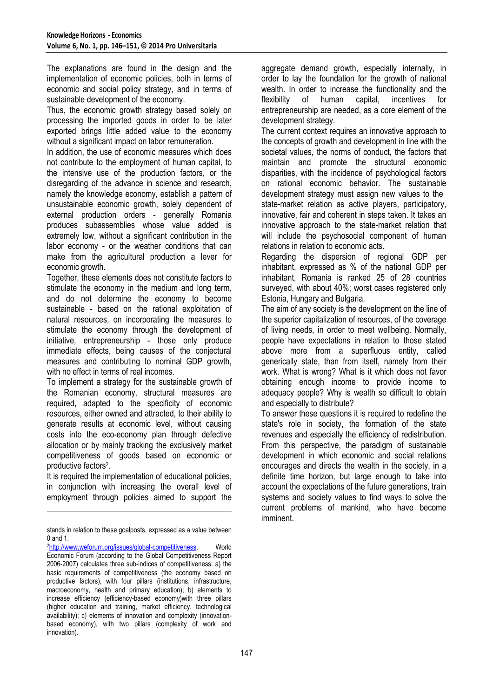The explanations are found in the design and the implementation of economic policies, both in terms of economic and social policy strategy, and in terms of sustainable development of the economy.

Thus, the economic growth strategy based solely on processing the imported goods in order to be later exported brings little added value to the economy without a significant impact on labor remuneration.

In addition, the use of economic measures which does not contribute to the employment of human capital, to the intensive use of the production factors, or the disregarding of the advance in science and research, namely the knowledge economy, establish a pattern of unsustainable economic growth, solely dependent of external production orders - generally Romania produces subassemblies whose value added is extremely low, without a significant contribution in the labor economy - or the weather conditions that can make from the agricultural production a lever for economic growth.

Together, these elements does not constitute factors to stimulate the economy in the medium and long term, and do not determine the economy to become sustainable - based on the rational exploitation of natural resources, on incorporating the measures to stimulate the economy through the development of initiative, entrepreneurship - those only produce immediate effects, being causes of the conjectural measures and contributing to nominal GDP growth, with no effect in terms of real incomes.

To implement a strategy for the sustainable growth of the Romanian economy, structural measures are required, adapted to the specificity of economic resources, either owned and attracted, to their ability to generate results at economic level, without causing costs into the eco-economy plan through defective allocation or by mainly tracking the exclusively market competitiveness of goods based on economic or productive factors<sup>2</sup>.

It is required the implementation of educational policies, in conjunction with increasing the overall level of employment through policies aimed to support the

l

aggregate demand growth, especially internally, in order to lay the foundation for the growth of national wealth. In order to increase the functionality and the flexibility of human capital, incentives for entrepreneurship are needed, as a core element of the development strategy.

The current context requires an innovative approach to the concepts of growth and development in line with the societal values, the norms of conduct, the factors that maintain and promote the structural economic disparities, with the incidence of psychological factors on rational economic behavior. The sustainable development strategy must assign new values to the state-market relation as active players, participatory, innovative, fair and coherent in steps taken. It takes an innovative approach to the state-market relation that will include the psychosocial component of human relations in relation to economic acts.

Regarding the dispersion of regional GDP per inhabitant, expressed as % of the national GDP per inhabitant, Romania is ranked 25 of 28 countries surveyed, with about 40%; worst cases registered only Estonia, Hungary and Bulgaria.

The aim of any society is the development on the line of the superior capitalization of resources, of the coverage of living needs, in order to meet wellbeing. Normally, people have expectations in relation to those stated above more from a superfluous entity, called generically state, than from itself, namely from their work. What is wrong? What is it which does not favor obtaining enough income to provide income to adequacy people? Why is wealth so difficult to obtain and especially to distribute?

To answer these questions it is required to redefine the state's role in society, the formation of the state revenues and especially the efficiency of redistribution. From this perspective, the paradigm of sustainable development in which economic and social relations encourages and directs the wealth in the society, in a definite time horizon, but large enough to take into account the expectations of the future generations, train systems and society values to find ways to solve the current problems of mankind, who have become imminent.

stands in relation to these goalposts, expressed as a value between 0 and 1.

<sup>2</sup>http://www.weforum.org/issues/global-competitiveness, World Economic Forum (according to the Global Competitiveness Report 2006-2007) calculates three sub-indices of competitiveness: a) the basic requirements of competitiveness (the economy based on productive factors), with four pillars (institutions, infrastructure, macroeconomy, health and primary education); b) elements to increase efficiency (efficiency-based economy)with three pillars (higher education and training, market efficiency, technological availability); c) elements of innovation and complexity (innovationbased economy), with two pillars (complexity of work and innovation).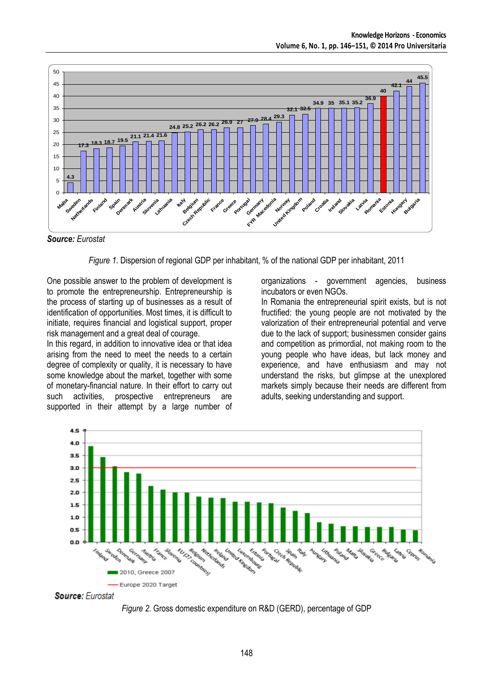

*Source: Eurostat* 

*Figure 1.* Dispersion of regional GDP per inhabitant, % of the national GDP per inhabitant, 2011

One possible answer to the problem of development is to promote the entrepreneurship. Entrepreneurship is the process of starting up of businesses as a result of identification of opportunities. Most times, it is difficult to initiate, requires financial and logistical support, proper risk management and a great deal of courage.

In this regard, in addition to innovative idea or that idea arising from the need to meet the needs to a certain degree of complexity or quality, it is necessary to have some knowledge about the market, together with some of monetary-financial nature. In their effort to carry out such activities, prospective entrepreneurs are supported in their attempt by a large number of

organizations - government agencies, business incubators or even NGOs.

In Romania the entrepreneurial spirit exists, but is not fructified: the young people are not motivated by the valorization of their entrepreneurial potential and verve due to the lack of support; businessmen consider gains and competition as primordial, not making room to the young people who have ideas, but lack money and experience, and have enthusiasm and may not understand the risks, but glimpse at the unexplored markets simply because their needs are different from adults, seeking understanding and support.





*Figure 2.* Gross domestic expenditure on R&D (GERD), percentage of GDP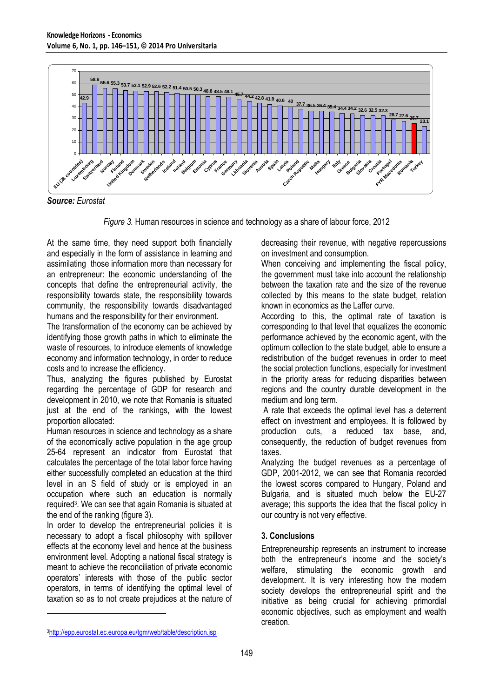

*Source: Eurostat* 

*Figure 3.* Human resources in science and technology as a share of labour force, 2012

At the same time, they need support both financially and especially in the form of assistance in learning and assimilating those information more than necessary for an entrepreneur: the economic understanding of the concepts that define the entrepreneurial activity, the responsibility towards state, the responsibility towards community, the responsibility towards disadvantaged humans and the responsibility for their environment.

The transformation of the economy can be achieved by identifying those growth paths in which to eliminate the waste of resources, to introduce elements of knowledge economy and information technology, in order to reduce costs and to increase the efficiency.

Thus, analyzing the figures published by Eurostat regarding the percentage of GDP for research and development in 2010, we note that Romania is situated just at the end of the rankings, with the lowest proportion allocated:

Human resources in science and technology as a share of the economically active population in the age group 25-64 represent an indicator from Eurostat that calculates the percentage of the total labor force having either successfully completed an education at the third level in an S field of study or is employed in an occupation where such an education is normally required<sup>3</sup> . We can see that again Romania is situated at the end of the ranking (figure 3).

In order to develop the entrepreneurial policies it is necessary to adopt a fiscal philosophy with spillover effects at the economy level and hence at the business environment level. Adopting a national fiscal strategy is meant to achieve the reconciliation of private economic operators' interests with those of the public sector operators, in terms of identifying the optimal level of taxation so as to not create prejudices at the nature of decreasing their revenue, with negative repercussions on investment and consumption.

When conceiving and implementing the fiscal policy, the government must take into account the relationship between the taxation rate and the size of the revenue collected by this means to the state budget, relation known in economics as the Laffer curve.

According to this, the optimal rate of taxation is corresponding to that level that equalizes the economic performance achieved by the economic agent, with the optimum collection to the state budget, able to ensure a redistribution of the budget revenues in order to meet the social protection functions, especially for investment in the priority areas for reducing disparities between regions and the country durable development in the medium and long term.

 A rate that exceeds the optimal level has a deterrent effect on investment and employees. It is followed by production cuts, a reduced tax base, and, consequently, the reduction of budget revenues from taxes.

Analyzing the budget revenues as a percentage of GDP, 2001-2012, we can see that Romania recorded the lowest scores compared to Hungary, Poland and Bulgaria, and is situated much below the EU-27 average; this supports the idea that the fiscal policy in our country is not very effective.

## **3. Conclusions**

Entrepreneurship represents an instrument to increase both the entrepreneur's income and the society's welfare, stimulating the economic growth and development. It is very interesting how the modern society develops the entrepreneurial spirit and the initiative as being crucial for achieving primordial economic objectives, such as employment and wealth creation.

 $\overline{a}$ 

<sup>3</sup>http://epp.eurostat.ec.europa.eu/tgm/web/table/description.jsp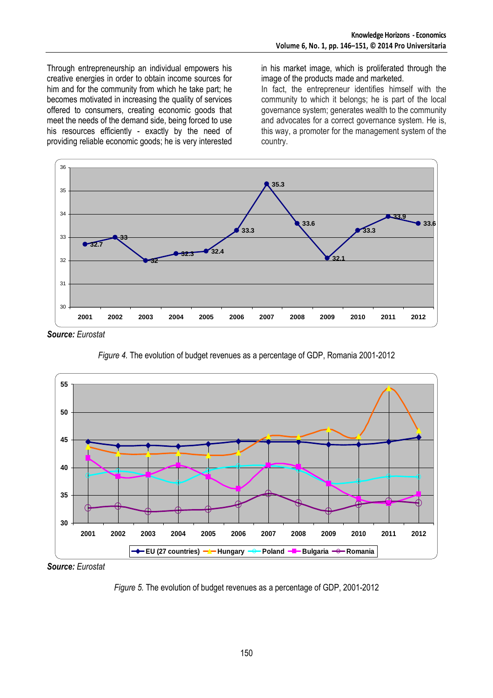Through entrepreneurship an individual empowers his creative energies in order to obtain income sources for him and for the community from which he take part; he becomes motivated in increasing the quality of services offered to consumers, creating economic goods that meet the needs of the demand side, being forced to use his resources efficiently - exactly by the need of providing reliable economic goods; he is very interested

in his market image, which is proliferated through the image of the products made and marketed.

In fact, the entrepreneur identifies himself with the community to which it belongs; he is part of the local governance system; generates wealth to the community and advocates for a correct governance system. He is, this way, a promoter for the management system of the country.



*Source: Eurostat* 

*Figure 4.* The evolution of budget revenues as a percentage of GDP, Romania 2001-2012



*Source: Eurostat* 

*Figure 5.* The evolution of budget revenues as a percentage of GDP, 2001-2012